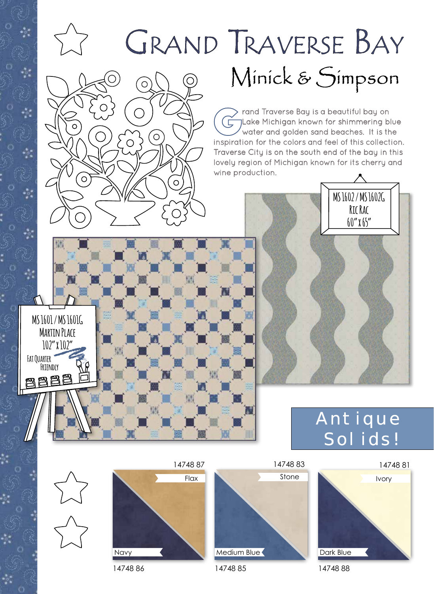

## Dark Blue

14748 85

Medium Blue

14748 86

Navy

14748 88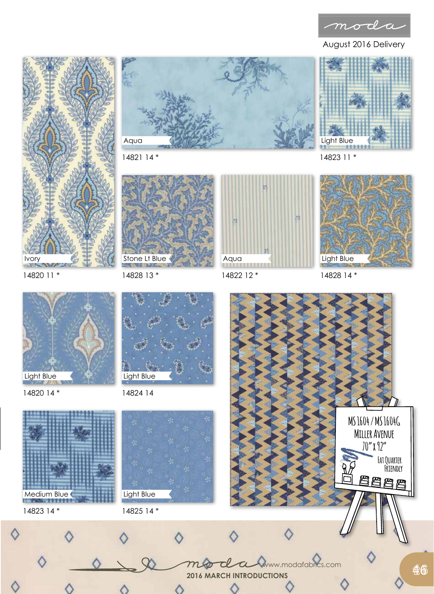

August 2016 Delivery





14821 14 \*







14820 11 \*

14828 13 \*



14820 14 \*

Light Blue







Medium Blue









Light Blue





C

mo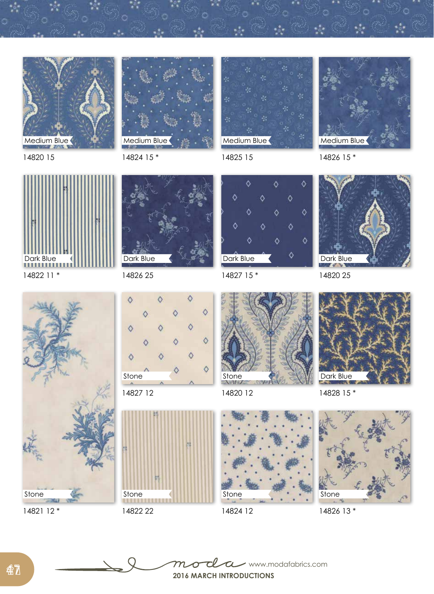



14820 15

14824 15 \*

Dark Blue



14825 15



14826 15 \*



14822 11 \*



14826 25  $\Diamond$  $\Diamond$ С  $\circ$ 





14822 22



14827 15 \*



14820 12

14824 12

Stone



14828 15 \*

14820 25

Dark Blue



14826 13 \*



14821 12 \*